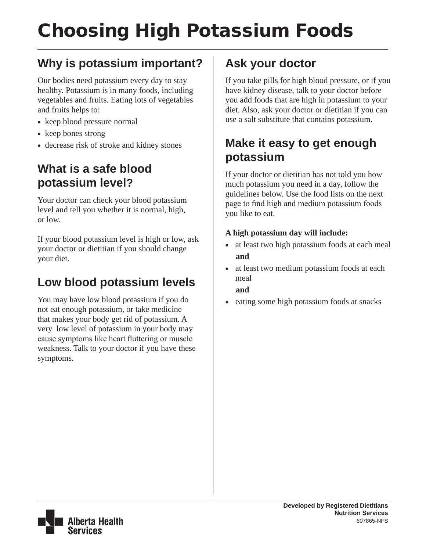# Choosing High Potassium Foods

## **Why is potassium important?**

Our bodies need potassium every day to stay healthy. Potassium is in many foods, including vegetables and fruits. Eating lots of vegetables and fruits helps to:

- keep blood pressure normal
- keep bones strong
- • decrease risk of stroke and kidney stones

## **What is a safe blood potassium level?**

Your doctor can check your blood potassium level and tell you whether it is normal, high, or low.

If your blood potassium level is high or low, ask your doctor or dietitian if you should change your diet.

## **Low blood potassium levels**

You may have low blood potassium if you do not eat enough potassium, or take medicine that makes your body get rid of potassium. A very low level of potassium in your body may cause symptoms like heart fluttering or muscle weakness. Talk to your doctor if you have these symptoms.

## **Ask your doctor**

If you take pills for high blood pressure, or if you have kidney disease, talk to your doctor before you add foods that are high in potassium to your diet. Also, ask your doctor or dietitian if you can use a salt substitute that contains potassium.

## **Make it easy to get enough potassium**

If your doctor or dietitian has not told you how much potassium you need in a day, follow the guidelines below. Use the food lists on the next page to find high and medium potassium foods you like to eat.

### **A high potassium day will include:**

- at least two high potassium foods at each meal  **and**
- at least two medium potassium foods at each meal  **and**
- eating some high potassium foods at snacks

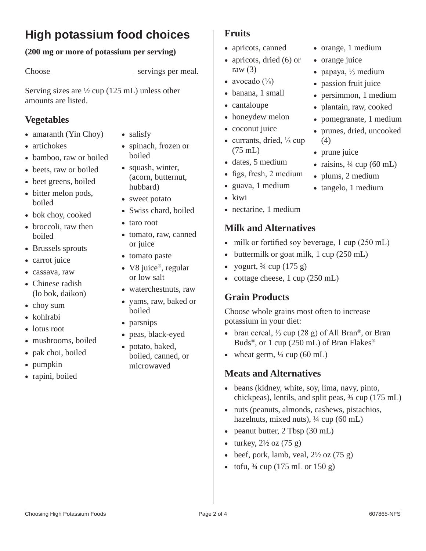## **High potassium food choices**

### **(200 mg or more of potassium per serving)**

Choose servings per meal.

Serving sizes are  $\frac{1}{2}$  cup (125 mL) unless other amounts are listed.

### **Vegetables**

- amaranth (Yin Choy)
- artichokes
- bamboo, raw or boiled
- beets, raw or boiled
- beet greens, boiled
- bitter melon pods, boiled
- bok choy, cooked
- broccoli, raw then boiled
- Brussels sprouts
- carrot juice
- cassava, raw
- Chinese radish (lo bok, daikon)
- choy sum
- • kohlrabi
- lotus root
- mushrooms, boiled
- pak choi, boiled
- pumpkin
- rapini, boiled
- salisfy
- spinach, frozen or boiled
- squash, winter, (acorn, butternut, hubbard)
- sweet potato
- Swiss chard, boiled
- • taro root
- tomato, raw, canned or juice
- • tomato paste
- V8 juice®, regular or low salt
- waterchestnuts, raw
- yams, raw, baked or boiled
- parsnips
- • peas, black-eyed
- potato, baked, boiled, canned, or microwaved

### **Fruits**

- apricots, canned
- apricots, dried (6) or raw  $(3)$
- avocado  $\binom{1}{3}$
- banana, 1 small
- cantaloupe
- honeydew melon
- coconut juice
- • currants, dried, ⅓ cup (75 mL)
- dates, 5 medium
- figs, fresh, 2 medium
- • guava, 1 medium
- kiwi
- nectarine, 1 medium

### **Milk and Alternatives**

- milk or fortified soy beverage,  $1 \text{ cup} (250 \text{ mL})$
- buttermilk or goat milk, 1 cup (250 mL)
- yogurt,  $\frac{3}{4}$  cup (175 g)
- cottage cheese, 1 cup (250 mL)

### **Grain Products**

Choose whole grains most often to increase potassium in your diet:

- • bran cereal, ⅓ cup (28 g) of All Bran®, or Bran Buds®, or 1 cup (250 mL) of Bran Flakes®
- wheat germ,  $\frac{1}{4}$  cup (60 mL)

### **Meats and Alternatives**

- beans (kidney, white, soy, lima, navy, pinto, chickpeas), lentils, and split peas, ¾ cup (175 mL)
- nuts (peanuts, almonds, cashews, pistachios, hazelnuts, mixed nuts), ¼ cup (60 mL)
- peanut butter, 2 Tbsp (30 mL)
- turkey,  $2\frac{1}{2}$  oz  $(75 \text{ g})$
- beef, pork, lamb, veal,  $2\frac{1}{2}$  oz  $(75 \text{ g})$
- tofu,  $\frac{3}{4}$  cup (175 mL or 150 g)

• persimmon, 1 medium • plantain, raw, cooked

• orange, 1 medium

• papaya,  $\frac{1}{3}$  medium • passion fruit juice

• orange juice

- pomegranate, 1 medium
- prunes, dried, uncooked (4)
- prune juice
- raisins,  $\frac{1}{4}$  cup (60 mL)
- plums, 2 medium
- tangelo, 1 medium
- 
-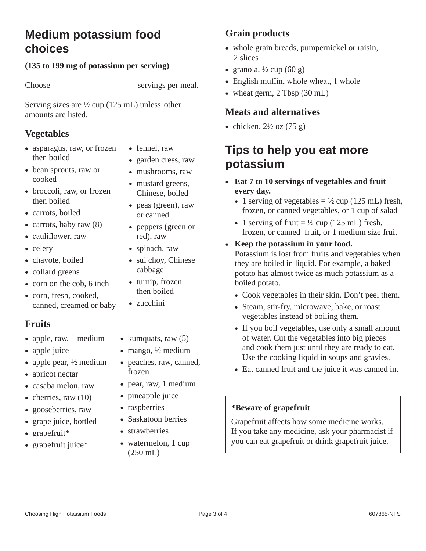## **Medium potassium food choices**

### **(135 to 199 mg of potassium per serving)**

Choose servings per meal.

Serving sizes are ½ cup (125 mL) unless other amounts are listed.

### **Vegetables**

- asparagus, raw, or frozen then boiled
- bean sprouts, raw or cooked
- broccoli, raw, or frozen then boiled
- carrots, boiled
- carrots, baby raw  $(8)$
- cauliflower, raw
- celery
- chayote, boiled
- collard greens
- corn on the cob, 6 inch
- corn, fresh, cooked, canned, creamed or baby

### **Fruits**

- apple, raw, 1 medium
- apple juice
- apple pear,  $\frac{1}{2}$  medium
- apricot nectar
- • casaba melon, raw
- cherries, raw  $(10)$
- gooseberries, raw
- grape juice, bottled
- grapefruit\*
- grapefruit juice\*
- fennel, raw
- garden cress, raw
- mushrooms, raw
- mustard greens, Chinese, boiled
- peas (green), raw or canned
- peppers (green or red), raw
- spinach, raw
- sui choy, Chinese cabbage
- turnip, frozen then boiled
- zucchini
- kumquats, raw  $(5)$
- mango,  $\frac{1}{2}$  medium
- peaches, raw, canned, frozen
- pear, raw, 1 medium
- pineapple juice
- raspberries
- Saskatoon berries
- strawberries
- watermelon, 1 cup (250 mL)

### **Grain products**

- whole grain breads, pumpernickel or raisin, 2 slices
- granola,  $\frac{1}{2}$  cup (60 g)
- English muffin, whole wheat, 1 whole
- wheat germ, 2 Tbsp (30 mL)

### **Meats and alternatives**

• chicken,  $2\frac{1}{2}$  oz (75 g)

## **Tips to help you eat more potassium**

- • **Eat 7 to 10 servings of vegetables and fruit every day.**
	- 1 serving of vegetables  $= \frac{1}{2}$  cup (125 mL) fresh, frozen, or canned vegetables, or 1 cup of salad
	- 1 serving of fruit  $= \frac{1}{2}$  cup (125 mL) fresh, frozen, or canned fruit, or 1 medium size fruit
- • **Keep the potassium in your food.**  Potassium is lost from fruits and vegetables when they are boiled in liquid. For example, a baked potato has almost twice as much potassium as a boiled potato.
	- Cook vegetables in their skin. Don't peel them.
	- Steam, stir-fry, microwave, bake, or roast vegetables instead of boiling them.
	- If you boil vegetables, use only a small amount of water. Cut the vegetables into big pieces and cook them just until they are ready to eat. Use the cooking liquid in soups and gravies.
	- Eat canned fruit and the juice it was canned in.

### **\*Beware of grapefruit**

Grapefruit affects how some medicine works. If you take any medicine, ask your pharmacist if you can eat grapefruit or drink grapefruit juice.